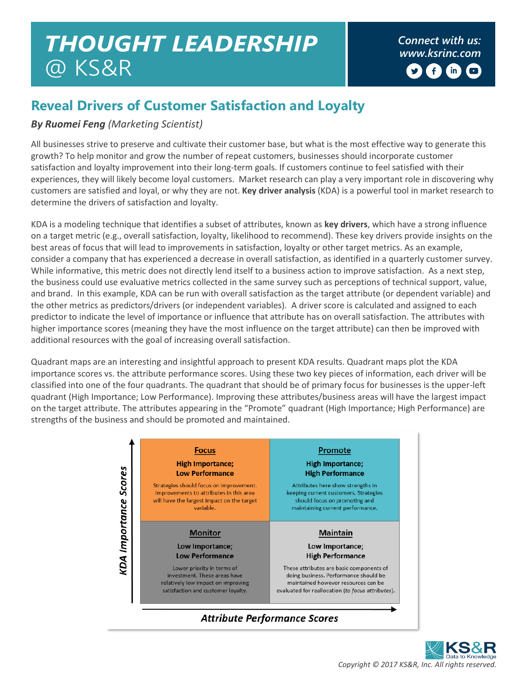## *Connect with us: THOUGHT LEADERSHIP [www.ksrinc.com](http://www.ksrinc.com/)* @ KS&R

## **Reveal Drivers of Customer Satisfaction and Loyalty**

## *By Ruomei Feng (Marketing Scientist)*

All businesses strive to preserve and cultivate their customer base, but what is the most effective way to generate this growth? To help monitor and grow the number of repeat customers, businesses should incorporate customer satisfaction and loyalty improvement into their long-term goals. If customers continue to feel satisfied with their experiences, they will likely become loyal customers. Market research can play a very important role in discovering why customers are satisfied and loyal, or why they are not. **Key driver analysis** (KDA) is a powerful tool in market research to determine the drivers of satisfaction and loyalty.

KDA is a modeling technique that identifies a subset of attributes, known as **key drivers**, which have a strong influence on a target metric (e.g., overall satisfaction, loyalty, likelihood to recommend). These key drivers provide insights on the best areas of focus that will lead to improvements in satisfaction, loyalty or other target metrics. As an example, consider a company that has experienced a decrease in overall satisfaction, as identified in a quarterly customer survey. While informative, this metric does not directly lend itself to a business action to improve satisfaction. As a next step, the business could use evaluative metrics collected in the same survey such as perceptions of technical support, value, and brand. In this example, KDA can be run with overall satisfaction as the target attribute (or dependent variable) and the other metrics as predictors/drivers (or independent variables). A driver score is calculated and assigned to each predictor to indicate the level of importance or influence that attribute has on overall satisfaction. The attributes with higher importance scores (meaning they have the most influence on the target attribute) can then be improved with additional resources with the goal of increasing overall satisfaction.

Quadrant maps are an interesting and insightful approach to present KDA results. Quadrant maps plot the KDA importance scores vs. the attribute performance scores. Using these two key pieces of information, each driver will be classified into one of the four quadrants. The quadrant that should be of primary focus for businesses is the upper-left quadrant (High Importance; Low Performance). Improving these attributes/business areas will have the largest impact on the target attribute. The attributes appearing in the "Promote" quadrant (High Importance; High Performance) are strengths of the business and should be promoted and maintained.

|                              | <b>Focus</b><br><b>High Importance;</b><br><b>Low Performance</b>                                                                             | Promote<br><b>High Importance;</b><br><b>High Performance</b>                                                                                                                 |
|------------------------------|-----------------------------------------------------------------------------------------------------------------------------------------------|-------------------------------------------------------------------------------------------------------------------------------------------------------------------------------|
| <b>KDA Importance Scores</b> | Strategies should focus on improvement.<br>Improvements to attributes in this area<br>will have the largest impact on the target<br>variable. | Attributes here show strengths in<br>keeping current customers. Strategies<br>should focus on promoting and<br>maintaining current performance.                               |
|                              | <b>Monitor</b>                                                                                                                                | Maintain                                                                                                                                                                      |
|                              | Low Importance;<br><b>Low Performance</b>                                                                                                     | Low Importance;<br><b>High Performance</b>                                                                                                                                    |
|                              | Lower priority in terms of<br>investment. These areas have<br>relatively low impact on improving<br>satisfaction and customer loyalty.        | These attributes are basic components of<br>doing business. Performance should be<br>maintained however resources can be<br>evaluated for reallocation (to focus attributes). |